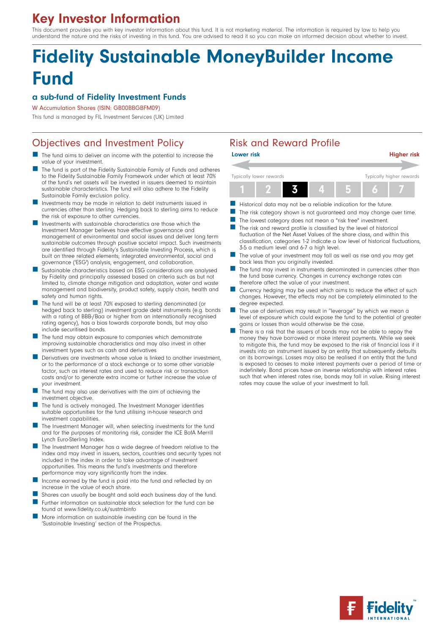# Key Investor Information

This document provides you with key investor information about this fund. It is not marketing material. The information is required by law to help you understand the nature and the risks of investing in this fund. You are advised to read it so you can make an informed decision about whether to invest.

# Fidelity Sustainable MoneyBuilder Income **Fund**

## a sub-fund of Fidelity Investment Funds

W Accumulation Shares (ISIN: GB00BBGBFM09)

This fund is managed by FIL Investment Services (UK) Limited

# Objectives and Investment Policy **Risk and Reward Profile**

- The fund aims to deliver an income with the potential to increase the value of your investment.
- The fund is part of the Fidelity Sustainable Family of Funds and adheres to the Fidelity Sustainable Family Framework under which at least 70% of the fund's net assets will be invested in issuers deemed to maintain sustainable characteristics. The fund will also adhere to the Fidelity Sustainable Family exclusion policy.
- $\blacksquare$  Investments may be made in relation to debt instruments issued in currencies other than sterling. Hedging back to sterling aims to reduce the risk of exposure to other currencies.
- Investments with sustainable characteristics are those which the Investment Manager believes have effective governance and management of environmental and social issues and deliver long term sustainable outcomes through positive societal impact. Such investments are identified through Fidelity's Sustainable Investing Process, which is built on three related elements; integrated environmental, social and governance ('ESG') analysis, engagement, and collaboration.
- $\blacksquare$  Sustainable characteristics based on ESG considerations are analysed by Fidelity and principally assessed based on criteria such as but not limited to, climate change mitigation and adaptation, water and waste management and biodiversity, product safety, supply chain, health and safety and human rights.
- The fund will be at least 70% exposed to sterling denominated (or hedged back to sterling) investment grade debt instruments (e.g. bonds with a rating of BBB-/Baa or higher from an internationally recognised rating agency), has a bias towards corporate bonds, but may also include securitised bonds.
- The fund may obtain exposure to companies which demonstrate improving sustainable characteristics and may also invest in other investment types such as cash and derivatives
- Derivatives are investments whose value is linked to another investment, or to the performance of a stock exchange or to some other variable factor, such as interest rates and used to reduce risk or transaction costs and/or to generate extra income or further increase the value of your investment.
- The fund may also use derivatives with the aim of achieving the investment objective.
- The fund is actively managed. The Investment Manager identifies suitable opportunities for the fund utilising in-house research and investment capabilities.
- The Investment Manager will, when selecting investments for the fund and for the purposes of monitoring risk, consider the ICE BofA Merrill Lynch Euro-Sterling Index.
- The Investment Manager has a wide degree of freedom relative to the index and may invest in issuers, sectors, countries and security types not included in the index in order to take advantage of investment opportunities. This means the fund's investments and therefore performance may vary significantly from the index.
- Income earned by the fund is paid into the fund and reflected by an increase in the value of each share.
- Shares can usually be bought and sold each business day of the fund.
- Further information on sustainable stock selection for the fund can be found at www.fidelity.co.uk/sustmbinfo
- n More information on sustainable investing can be found in the 'Sustainable Investing' section of the Prospectus.



- Historical data may not be a reliable indication for the future.
- The risk category shown is not guaranteed and may change over time.
- The lowest category does not mean a "risk free" investment.
- $\blacksquare$  The risk and reward profile is classified by the level of historical fluctuation of the Net Asset Values of the share class, and within this classification, categories 1-2 indicate a low level of historical fluctuations, 3-5 a medium level and 6-7 a high level.
- The value of your investment may fall as well as rise and you may get back less than you originally invested.
- The fund may invest in instruments denominated in currencies other than the fund base currency. Changes in currency exchange rates can therefore affect the value of your investment.
- Currency hedging may be used which aims to reduce the effect of such changes. However, the effects may not be completely eliminated to the degree expected.
- The use of derivatives may result in "leverage" by which we mean a level of exposure which could expose the fund to the potential of greater gains or losses than would otherwise be the case.
- There is a risk that the issuers of bonds may not be able to repay the money they have borrowed or make interest payments. While we seek to mitigate this, the fund may be exposed to the risk of financial loss if it invests into an instrument issued by an entity that subsequently defaults on its borrowings. Losses may also be realised if an entity that the fund is exposed to ceases to make interest payments over a period of time or indefinitely. Bond prices have an inverse relationship with interest rates such that when interest rates rise, bonds may fall in value. Rising interest rates may cause the value of your investment to fall.